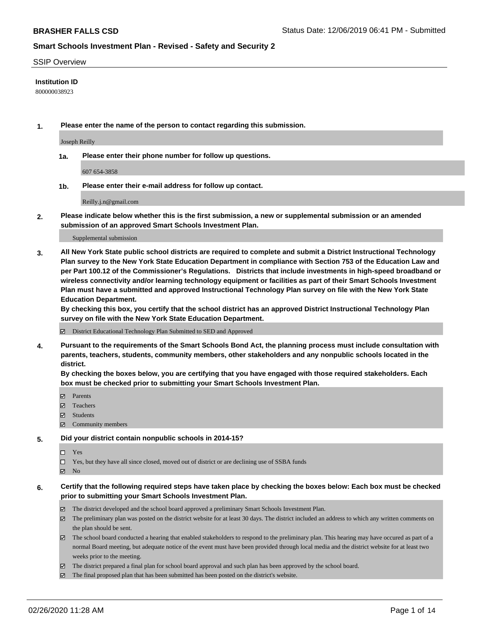### SSIP Overview

### **Institution ID**

800000038923

**1. Please enter the name of the person to contact regarding this submission.**

Joseph Reilly

**1a. Please enter their phone number for follow up questions.**

607 654-3858

**1b. Please enter their e-mail address for follow up contact.**

Reilly.j.n@gmail.com

**2. Please indicate below whether this is the first submission, a new or supplemental submission or an amended submission of an approved Smart Schools Investment Plan.**

#### Supplemental submission

**3. All New York State public school districts are required to complete and submit a District Instructional Technology Plan survey to the New York State Education Department in compliance with Section 753 of the Education Law and per Part 100.12 of the Commissioner's Regulations. Districts that include investments in high-speed broadband or wireless connectivity and/or learning technology equipment or facilities as part of their Smart Schools Investment Plan must have a submitted and approved Instructional Technology Plan survey on file with the New York State Education Department.** 

**By checking this box, you certify that the school district has an approved District Instructional Technology Plan survey on file with the New York State Education Department.**

District Educational Technology Plan Submitted to SED and Approved

**4. Pursuant to the requirements of the Smart Schools Bond Act, the planning process must include consultation with parents, teachers, students, community members, other stakeholders and any nonpublic schools located in the district.** 

**By checking the boxes below, you are certifying that you have engaged with those required stakeholders. Each box must be checked prior to submitting your Smart Schools Investment Plan.**

- **マ** Parents
- Teachers
- Students
- Community members

### **5. Did your district contain nonpublic schools in 2014-15?**

 $\neg$  Yes

Yes, but they have all since closed, moved out of district or are declining use of SSBA funds

**Z** No

### **6. Certify that the following required steps have taken place by checking the boxes below: Each box must be checked prior to submitting your Smart Schools Investment Plan.**

- The district developed and the school board approved a preliminary Smart Schools Investment Plan.
- $\boxtimes$  The preliminary plan was posted on the district website for at least 30 days. The district included an address to which any written comments on the plan should be sent.
- $\boxtimes$  The school board conducted a hearing that enabled stakeholders to respond to the preliminary plan. This hearing may have occured as part of a normal Board meeting, but adequate notice of the event must have been provided through local media and the district website for at least two weeks prior to the meeting.
- The district prepared a final plan for school board approval and such plan has been approved by the school board.
- $\boxtimes$  The final proposed plan that has been submitted has been posted on the district's website.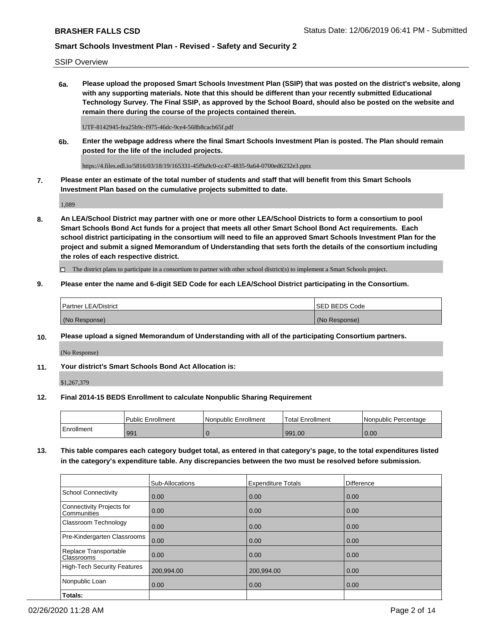SSIP Overview

**6a. Please upload the proposed Smart Schools Investment Plan (SSIP) that was posted on the district's website, along with any supporting materials. Note that this should be different than your recently submitted Educational Technology Survey. The Final SSIP, as approved by the School Board, should also be posted on the website and remain there during the course of the projects contained therein.**

UTF-8142945-fea25b9c-f975-46dc-9ce4-568b8cacb65f.pdf

**6b. Enter the webpage address where the final Smart Schools Investment Plan is posted. The Plan should remain posted for the life of the included projects.**

https://4.files.edl.io/5816/03/18/19/165331-45f9a9c0-cc47-4835-9a64-0700ed6232e3.pptx

**7. Please enter an estimate of the total number of students and staff that will benefit from this Smart Schools Investment Plan based on the cumulative projects submitted to date.**

1,089

**8. An LEA/School District may partner with one or more other LEA/School Districts to form a consortium to pool Smart Schools Bond Act funds for a project that meets all other Smart School Bond Act requirements. Each school district participating in the consortium will need to file an approved Smart Schools Investment Plan for the project and submit a signed Memorandum of Understanding that sets forth the details of the consortium including the roles of each respective district.**

 $\Box$  The district plans to participate in a consortium to partner with other school district(s) to implement a Smart Schools project.

### **9. Please enter the name and 6-digit SED Code for each LEA/School District participating in the Consortium.**

| Partner LEA/District | <b>ISED BEDS Code</b> |
|----------------------|-----------------------|
| (No Response)        | (No Response)         |

### **10. Please upload a signed Memorandum of Understanding with all of the participating Consortium partners.**

(No Response)

**11. Your district's Smart Schools Bond Act Allocation is:**

\$1,267,379

### **12. Final 2014-15 BEDS Enrollment to calculate Nonpublic Sharing Requirement**

|            | <b>Public Enrollment</b> | Nonpublic Enrollment | <b>Total Enrollment</b> | l Nonpublic Percentage |
|------------|--------------------------|----------------------|-------------------------|------------------------|
| Enrollment | 991                      |                      | 991.00                  | 0.00                   |

**13. This table compares each category budget total, as entered in that category's page, to the total expenditures listed in the category's expenditure table. Any discrepancies between the two must be resolved before submission.**

|                                          | Sub-Allocations | <b>Expenditure Totals</b> | Difference |
|------------------------------------------|-----------------|---------------------------|------------|
| <b>School Connectivity</b>               | 0.00            | 0.00                      | 0.00       |
| Connectivity Projects for<br>Communities | 0.00            | 0.00                      | 0.00       |
| Classroom Technology                     | 0.00            | 0.00                      | 0.00       |
| Pre-Kindergarten Classrooms              | 0.00            | 0.00                      | 0.00       |
| Replace Transportable<br>Classrooms      | 0.00            | 0.00                      | 0.00       |
| High-Tech Security Features              | 200,994.00      | 200,994.00                | 0.00       |
| Nonpublic Loan                           | 0.00            | 0.00                      | 0.00       |
| Totals:                                  |                 |                           |            |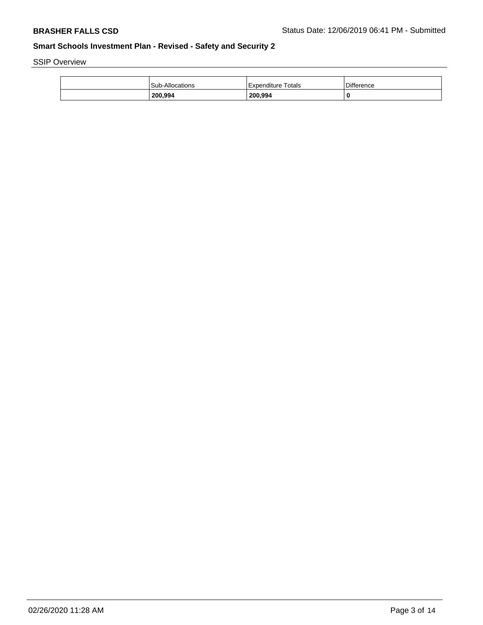SSIP Overview

| 200,994         | 200,994            |                   |
|-----------------|--------------------|-------------------|
| Sub-Allocations | Expenditure Totals | <b>Difference</b> |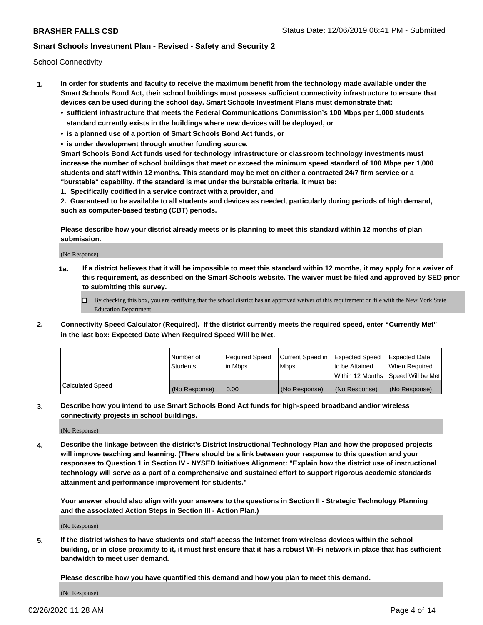School Connectivity

- **1. In order for students and faculty to receive the maximum benefit from the technology made available under the Smart Schools Bond Act, their school buildings must possess sufficient connectivity infrastructure to ensure that devices can be used during the school day. Smart Schools Investment Plans must demonstrate that:**
	- **• sufficient infrastructure that meets the Federal Communications Commission's 100 Mbps per 1,000 students standard currently exists in the buildings where new devices will be deployed, or**
	- **• is a planned use of a portion of Smart Schools Bond Act funds, or**
	- **• is under development through another funding source.**

**Smart Schools Bond Act funds used for technology infrastructure or classroom technology investments must increase the number of school buildings that meet or exceed the minimum speed standard of 100 Mbps per 1,000 students and staff within 12 months. This standard may be met on either a contracted 24/7 firm service or a "burstable" capability. If the standard is met under the burstable criteria, it must be:**

**1. Specifically codified in a service contract with a provider, and**

**2. Guaranteed to be available to all students and devices as needed, particularly during periods of high demand, such as computer-based testing (CBT) periods.**

**Please describe how your district already meets or is planning to meet this standard within 12 months of plan submission.**

(No Response)

**1a. If a district believes that it will be impossible to meet this standard within 12 months, it may apply for a waiver of this requirement, as described on the Smart Schools website. The waiver must be filed and approved by SED prior to submitting this survey.**

 $\Box$  By checking this box, you are certifying that the school district has an approved waiver of this requirement on file with the New York State Education Department.

**2. Connectivity Speed Calculator (Required). If the district currently meets the required speed, enter "Currently Met" in the last box: Expected Date When Required Speed Will be Met.**

|                  | l Number of     | Required Speed | Current Speed in | Expected Speed | Expected Date                        |
|------------------|-----------------|----------------|------------------|----------------|--------------------------------------|
|                  | <b>Students</b> | In Mbps        | <b>Mbps</b>      | to be Attained | When Required                        |
|                  |                 |                |                  |                | Within 12 Months 1Speed Will be Met1 |
| Calculated Speed | (No Response)   | 0.00           | (No Response)    | (No Response)  | l (No Response)                      |

**3. Describe how you intend to use Smart Schools Bond Act funds for high-speed broadband and/or wireless connectivity projects in school buildings.**

(No Response)

**4. Describe the linkage between the district's District Instructional Technology Plan and how the proposed projects will improve teaching and learning. (There should be a link between your response to this question and your responses to Question 1 in Section IV - NYSED Initiatives Alignment: "Explain how the district use of instructional technology will serve as a part of a comprehensive and sustained effort to support rigorous academic standards attainment and performance improvement for students."** 

**Your answer should also align with your answers to the questions in Section II - Strategic Technology Planning and the associated Action Steps in Section III - Action Plan.)**

(No Response)

**5. If the district wishes to have students and staff access the Internet from wireless devices within the school building, or in close proximity to it, it must first ensure that it has a robust Wi-Fi network in place that has sufficient bandwidth to meet user demand.**

**Please describe how you have quantified this demand and how you plan to meet this demand.**

(No Response)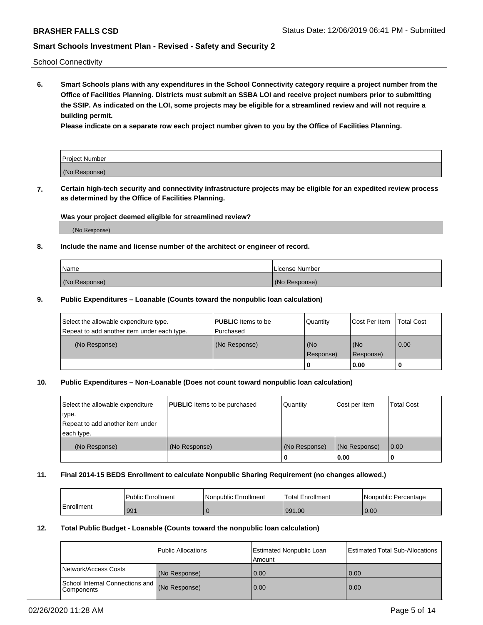School Connectivity

**6. Smart Schools plans with any expenditures in the School Connectivity category require a project number from the Office of Facilities Planning. Districts must submit an SSBA LOI and receive project numbers prior to submitting the SSIP. As indicated on the LOI, some projects may be eligible for a streamlined review and will not require a building permit.**

**Please indicate on a separate row each project number given to you by the Office of Facilities Planning.**

| Project Number |  |
|----------------|--|
| (No Response)  |  |

**7. Certain high-tech security and connectivity infrastructure projects may be eligible for an expedited review process as determined by the Office of Facilities Planning.**

### **Was your project deemed eligible for streamlined review?**

(No Response)

### **8. Include the name and license number of the architect or engineer of record.**

| Name          | License Number |
|---------------|----------------|
| (No Response) | (No Response)  |

### **9. Public Expenditures – Loanable (Counts toward the nonpublic loan calculation)**

| Select the allowable expenditure type.<br>Repeat to add another item under each type. | <b>PUBLIC</b> Items to be<br>l Purchased | Quantity         | l Cost Per Item  | <b>Total Cost</b> |
|---------------------------------------------------------------------------------------|------------------------------------------|------------------|------------------|-------------------|
| (No Response)                                                                         | (No Response)                            | (No<br>Response) | (No<br>Response) | 0.00              |
|                                                                                       |                                          | 0                | 0.00             |                   |

## **10. Public Expenditures – Non-Loanable (Does not count toward nonpublic loan calculation)**

| Select the allowable expenditure<br>type.<br>Repeat to add another item under<br>each type. | <b>PUBLIC</b> Items to be purchased | Quantity      | Cost per Item | <b>Total Cost</b> |
|---------------------------------------------------------------------------------------------|-------------------------------------|---------------|---------------|-------------------|
| (No Response)                                                                               | (No Response)                       | (No Response) | (No Response) | 0.00              |
|                                                                                             |                                     |               | 0.00          |                   |

### **11. Final 2014-15 BEDS Enrollment to calculate Nonpublic Sharing Requirement (no changes allowed.)**

|            | Public Enrollment | Nonpublic Enrollment | Total Enrollment | l Nonpublic Percentage |
|------------|-------------------|----------------------|------------------|------------------------|
| Enrollment | 991               |                      | 991.00           | 0.00                   |

### **12. Total Public Budget - Loanable (Counts toward the nonpublic loan calculation)**

|                                                      | Public Allocations | <b>Estimated Nonpublic Loan</b><br>Amount | Estimated Total Sub-Allocations |
|------------------------------------------------------|--------------------|-------------------------------------------|---------------------------------|
| Network/Access Costs                                 | (No Response)      | 0.00                                      | 0.00                            |
| School Internal Connections and<br><b>Components</b> | (No Response)      | 0.00                                      | 0.00                            |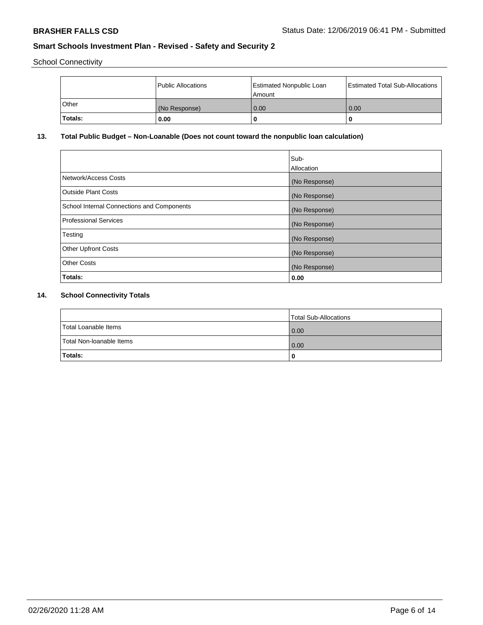School Connectivity

|                | Public Allocations | <b>Estimated Nonpublic Loan</b><br>l Amount | <b>Estimated Total Sub-Allocations</b> |
|----------------|--------------------|---------------------------------------------|----------------------------------------|
| l Other        | (No Response)      | 0.00                                        | 0.00                                   |
| <b>Totals:</b> | 0.00               | 0                                           |                                        |

## **13. Total Public Budget – Non-Loanable (Does not count toward the nonpublic loan calculation)**

| Sub-<br>Allocation |
|--------------------|
| (No Response)      |
| (No Response)      |
| (No Response)      |
| (No Response)      |
| (No Response)      |
| (No Response)      |
| (No Response)      |
| 0.00               |
|                    |

## **14. School Connectivity Totals**

|                          | Total Sub-Allocations |
|--------------------------|-----------------------|
| Total Loanable Items     | 0.00                  |
| Total Non-Ioanable Items | 0.00                  |
| Totals:                  |                       |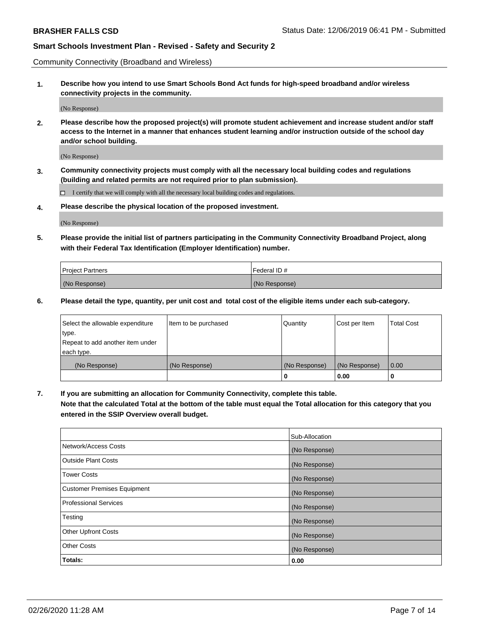Community Connectivity (Broadband and Wireless)

**1. Describe how you intend to use Smart Schools Bond Act funds for high-speed broadband and/or wireless connectivity projects in the community.**

(No Response)

**2. Please describe how the proposed project(s) will promote student achievement and increase student and/or staff access to the Internet in a manner that enhances student learning and/or instruction outside of the school day and/or school building.**

(No Response)

**3. Community connectivity projects must comply with all the necessary local building codes and regulations (building and related permits are not required prior to plan submission).**

 $\Box$  I certify that we will comply with all the necessary local building codes and regulations.

**4. Please describe the physical location of the proposed investment.**

(No Response)

**5. Please provide the initial list of partners participating in the Community Connectivity Broadband Project, along with their Federal Tax Identification (Employer Identification) number.**

| <b>Project Partners</b> | l Federal ID # |
|-------------------------|----------------|
| (No Response)           | (No Response)  |

**6. Please detail the type, quantity, per unit cost and total cost of the eligible items under each sub-category.**

| Select the allowable expenditure | Item to be purchased | Quantity      | Cost per Item | <b>Total Cost</b> |
|----------------------------------|----------------------|---------------|---------------|-------------------|
| type.                            |                      |               |               |                   |
| Repeat to add another item under |                      |               |               |                   |
| each type.                       |                      |               |               |                   |
| (No Response)                    | (No Response)        | (No Response) | (No Response) | 0.00              |
|                                  |                      | o             | 0.00          |                   |

**7. If you are submitting an allocation for Community Connectivity, complete this table.**

**Note that the calculated Total at the bottom of the table must equal the Total allocation for this category that you entered in the SSIP Overview overall budget.**

|                                    | Sub-Allocation |
|------------------------------------|----------------|
| Network/Access Costs               | (No Response)  |
| Outside Plant Costs                | (No Response)  |
| <b>Tower Costs</b>                 | (No Response)  |
| <b>Customer Premises Equipment</b> | (No Response)  |
| <b>Professional Services</b>       | (No Response)  |
| Testing                            | (No Response)  |
| <b>Other Upfront Costs</b>         | (No Response)  |
| <b>Other Costs</b>                 | (No Response)  |
| Totals:                            | 0.00           |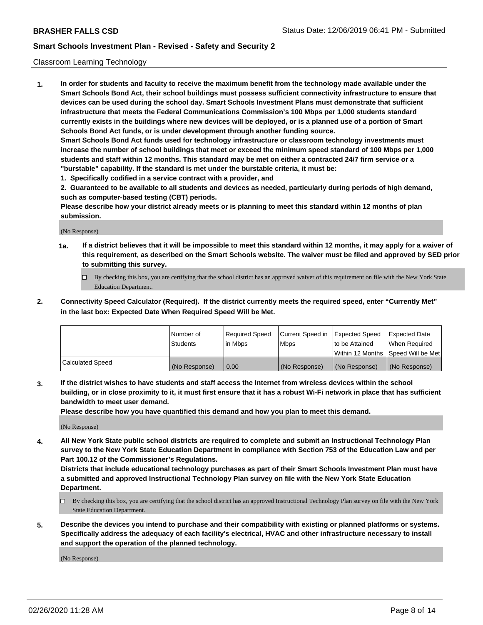### Classroom Learning Technology

**1. In order for students and faculty to receive the maximum benefit from the technology made available under the Smart Schools Bond Act, their school buildings must possess sufficient connectivity infrastructure to ensure that devices can be used during the school day. Smart Schools Investment Plans must demonstrate that sufficient infrastructure that meets the Federal Communications Commission's 100 Mbps per 1,000 students standard currently exists in the buildings where new devices will be deployed, or is a planned use of a portion of Smart Schools Bond Act funds, or is under development through another funding source. Smart Schools Bond Act funds used for technology infrastructure or classroom technology investments must increase the number of school buildings that meet or exceed the minimum speed standard of 100 Mbps per 1,000 students and staff within 12 months. This standard may be met on either a contracted 24/7 firm service or a**

- **"burstable" capability. If the standard is met under the burstable criteria, it must be:**
- **1. Specifically codified in a service contract with a provider, and**

**2. Guaranteed to be available to all students and devices as needed, particularly during periods of high demand, such as computer-based testing (CBT) periods.**

**Please describe how your district already meets or is planning to meet this standard within 12 months of plan submission.**

(No Response)

- **1a. If a district believes that it will be impossible to meet this standard within 12 months, it may apply for a waiver of this requirement, as described on the Smart Schools website. The waiver must be filed and approved by SED prior to submitting this survey.**
	- By checking this box, you are certifying that the school district has an approved waiver of this requirement on file with the New York State Education Department.
- **2. Connectivity Speed Calculator (Required). If the district currently meets the required speed, enter "Currently Met" in the last box: Expected Date When Required Speed Will be Met.**

|                  | l Number of     | Required Speed | Current Speed in | <b>Expected Speed</b> | <b>Expected Date</b>                |
|------------------|-----------------|----------------|------------------|-----------------------|-------------------------------------|
|                  | <b>Students</b> | l in Mbps      | l Mbps           | to be Attained        | When Required                       |
|                  |                 |                |                  |                       | Within 12 Months  Speed Will be Met |
| Calculated Speed | (No Response)   | 0.00           | (No Response)    | l (No Response)       | (No Response)                       |

**3. If the district wishes to have students and staff access the Internet from wireless devices within the school building, or in close proximity to it, it must first ensure that it has a robust Wi-Fi network in place that has sufficient bandwidth to meet user demand.**

**Please describe how you have quantified this demand and how you plan to meet this demand.**

(No Response)

**4. All New York State public school districts are required to complete and submit an Instructional Technology Plan survey to the New York State Education Department in compliance with Section 753 of the Education Law and per Part 100.12 of the Commissioner's Regulations.**

**Districts that include educational technology purchases as part of their Smart Schools Investment Plan must have a submitted and approved Instructional Technology Plan survey on file with the New York State Education Department.**

- By checking this box, you are certifying that the school district has an approved Instructional Technology Plan survey on file with the New York State Education Department.
- **5. Describe the devices you intend to purchase and their compatibility with existing or planned platforms or systems. Specifically address the adequacy of each facility's electrical, HVAC and other infrastructure necessary to install and support the operation of the planned technology.**

(No Response)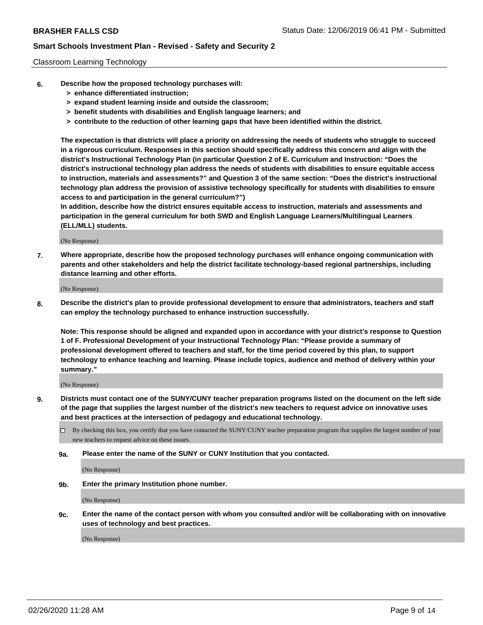### Classroom Learning Technology

- **6. Describe how the proposed technology purchases will:**
	- **> enhance differentiated instruction;**
	- **> expand student learning inside and outside the classroom;**
	- **> benefit students with disabilities and English language learners; and**
	- **> contribute to the reduction of other learning gaps that have been identified within the district.**

**The expectation is that districts will place a priority on addressing the needs of students who struggle to succeed in a rigorous curriculum. Responses in this section should specifically address this concern and align with the district's Instructional Technology Plan (in particular Question 2 of E. Curriculum and Instruction: "Does the district's instructional technology plan address the needs of students with disabilities to ensure equitable access to instruction, materials and assessments?" and Question 3 of the same section: "Does the district's instructional technology plan address the provision of assistive technology specifically for students with disabilities to ensure access to and participation in the general curriculum?")**

**In addition, describe how the district ensures equitable access to instruction, materials and assessments and participation in the general curriculum for both SWD and English Language Learners/Multilingual Learners (ELL/MLL) students.**

(No Response)

**7. Where appropriate, describe how the proposed technology purchases will enhance ongoing communication with parents and other stakeholders and help the district facilitate technology-based regional partnerships, including distance learning and other efforts.**

(No Response)

**8. Describe the district's plan to provide professional development to ensure that administrators, teachers and staff can employ the technology purchased to enhance instruction successfully.**

**Note: This response should be aligned and expanded upon in accordance with your district's response to Question 1 of F. Professional Development of your Instructional Technology Plan: "Please provide a summary of professional development offered to teachers and staff, for the time period covered by this plan, to support technology to enhance teaching and learning. Please include topics, audience and method of delivery within your summary."**

(No Response)

- **9. Districts must contact one of the SUNY/CUNY teacher preparation programs listed on the document on the left side of the page that supplies the largest number of the district's new teachers to request advice on innovative uses and best practices at the intersection of pedagogy and educational technology.**
	- By checking this box, you certify that you have contacted the SUNY/CUNY teacher preparation program that supplies the largest number of your new teachers to request advice on these issues.
	- **9a. Please enter the name of the SUNY or CUNY Institution that you contacted.**

(No Response)

**9b. Enter the primary Institution phone number.**

(No Response)

**9c. Enter the name of the contact person with whom you consulted and/or will be collaborating with on innovative uses of technology and best practices.**

(No Response)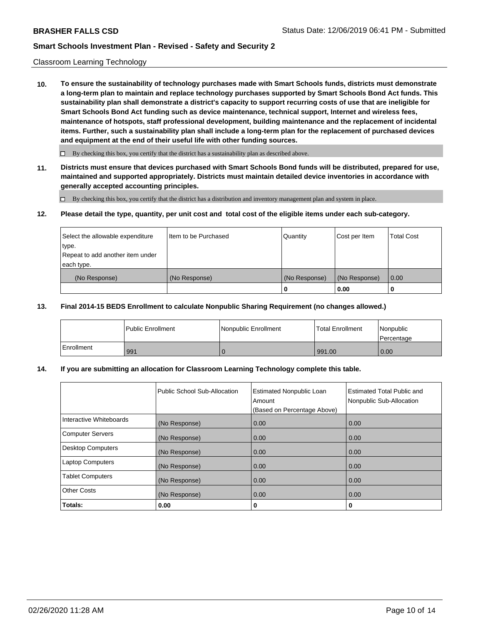### Classroom Learning Technology

**10. To ensure the sustainability of technology purchases made with Smart Schools funds, districts must demonstrate a long-term plan to maintain and replace technology purchases supported by Smart Schools Bond Act funds. This sustainability plan shall demonstrate a district's capacity to support recurring costs of use that are ineligible for Smart Schools Bond Act funding such as device maintenance, technical support, Internet and wireless fees, maintenance of hotspots, staff professional development, building maintenance and the replacement of incidental items. Further, such a sustainability plan shall include a long-term plan for the replacement of purchased devices and equipment at the end of their useful life with other funding sources.**

 $\Box$  By checking this box, you certify that the district has a sustainability plan as described above.

**11. Districts must ensure that devices purchased with Smart Schools Bond funds will be distributed, prepared for use, maintained and supported appropriately. Districts must maintain detailed device inventories in accordance with generally accepted accounting principles.**

By checking this box, you certify that the district has a distribution and inventory management plan and system in place.

### **12. Please detail the type, quantity, per unit cost and total cost of the eligible items under each sub-category.**

| Select the allowable expenditure<br>type.<br>Repeat to add another item under | Item to be Purchased | Quantity      | Cost per Item | <b>Total Cost</b> |
|-------------------------------------------------------------------------------|----------------------|---------------|---------------|-------------------|
| each type.<br>(No Response)                                                   | (No Response)        | (No Response) | (No Response) | 0.00              |
|                                                                               |                      | 0             | 0.00          |                   |

### **13. Final 2014-15 BEDS Enrollment to calculate Nonpublic Sharing Requirement (no changes allowed.)**

|              | l Public Enrollment | <b>Nonpublic Enrollment</b> | <b>Total Enrollment</b> | Nonpublic<br>l Percentage |
|--------------|---------------------|-----------------------------|-------------------------|---------------------------|
| l Enrollment | 991                 |                             | 991.00                  | 0.00                      |

### **14. If you are submitting an allocation for Classroom Learning Technology complete this table.**

|                         | Public School Sub-Allocation | <b>Estimated Nonpublic Loan</b><br>Amount<br>(Based on Percentage Above) | Estimated Total Public and<br>Nonpublic Sub-Allocation |
|-------------------------|------------------------------|--------------------------------------------------------------------------|--------------------------------------------------------|
| Interactive Whiteboards | (No Response)                | 0.00                                                                     | 0.00                                                   |
| Computer Servers        | (No Response)                | 0.00                                                                     | 0.00                                                   |
| Desktop Computers       | (No Response)                | 0.00                                                                     | 0.00                                                   |
| <b>Laptop Computers</b> | (No Response)                | 0.00                                                                     | 0.00                                                   |
| <b>Tablet Computers</b> | (No Response)                | 0.00                                                                     | 0.00                                                   |
| Other Costs             | (No Response)                | 0.00                                                                     | 0.00                                                   |
| Totals:                 | 0.00                         | 0                                                                        | 0                                                      |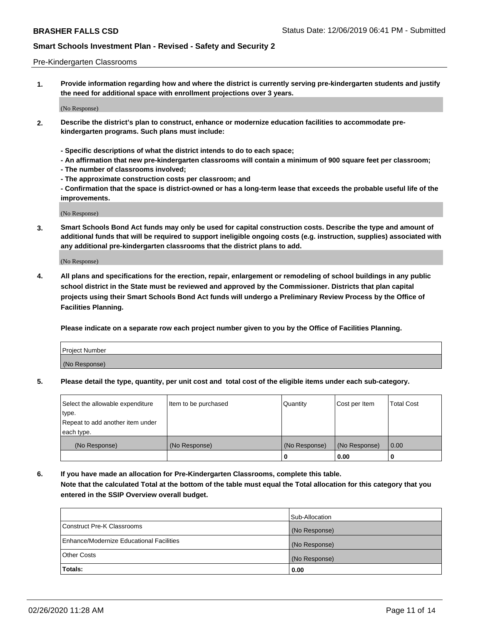### Pre-Kindergarten Classrooms

**1. Provide information regarding how and where the district is currently serving pre-kindergarten students and justify the need for additional space with enrollment projections over 3 years.**

(No Response)

- **2. Describe the district's plan to construct, enhance or modernize education facilities to accommodate prekindergarten programs. Such plans must include:**
	- **Specific descriptions of what the district intends to do to each space;**
	- **An affirmation that new pre-kindergarten classrooms will contain a minimum of 900 square feet per classroom;**
	- **The number of classrooms involved;**
	- **The approximate construction costs per classroom; and**
	- **Confirmation that the space is district-owned or has a long-term lease that exceeds the probable useful life of the improvements.**

(No Response)

**3. Smart Schools Bond Act funds may only be used for capital construction costs. Describe the type and amount of additional funds that will be required to support ineligible ongoing costs (e.g. instruction, supplies) associated with any additional pre-kindergarten classrooms that the district plans to add.**

(No Response)

**4. All plans and specifications for the erection, repair, enlargement or remodeling of school buildings in any public school district in the State must be reviewed and approved by the Commissioner. Districts that plan capital projects using their Smart Schools Bond Act funds will undergo a Preliminary Review Process by the Office of Facilities Planning.**

**Please indicate on a separate row each project number given to you by the Office of Facilities Planning.**

| Project Number |  |
|----------------|--|
| (No Response)  |  |
|                |  |

**5. Please detail the type, quantity, per unit cost and total cost of the eligible items under each sub-category.**

| Select the allowable expenditure | Item to be purchased | Quantity      | Cost per Item | <b>Total Cost</b> |
|----------------------------------|----------------------|---------------|---------------|-------------------|
| type.                            |                      |               |               |                   |
| Repeat to add another item under |                      |               |               |                   |
| each type.                       |                      |               |               |                   |
| (No Response)                    | (No Response)        | (No Response) | (No Response) | 0.00              |
|                                  |                      | U             | 0.00          |                   |

**6. If you have made an allocation for Pre-Kindergarten Classrooms, complete this table. Note that the calculated Total at the bottom of the table must equal the Total allocation for this category that you entered in the SSIP Overview overall budget.**

|                                          | Sub-Allocation |
|------------------------------------------|----------------|
| Construct Pre-K Classrooms               | (No Response)  |
| Enhance/Modernize Educational Facilities | (No Response)  |
| <b>Other Costs</b>                       | (No Response)  |
| Totals:                                  | 0.00           |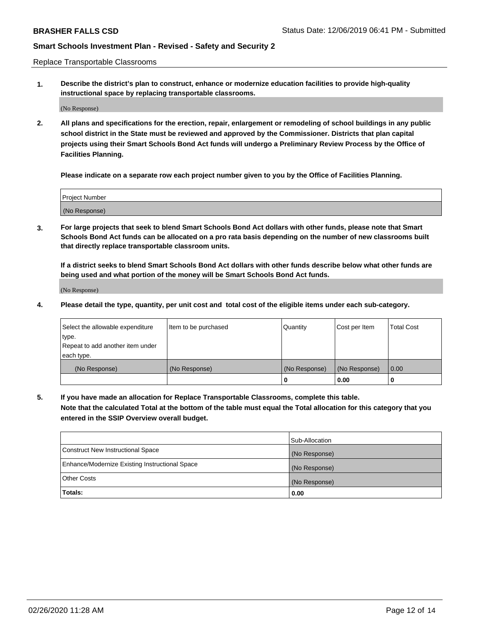Replace Transportable Classrooms

**1. Describe the district's plan to construct, enhance or modernize education facilities to provide high-quality instructional space by replacing transportable classrooms.**

(No Response)

**2. All plans and specifications for the erection, repair, enlargement or remodeling of school buildings in any public school district in the State must be reviewed and approved by the Commissioner. Districts that plan capital projects using their Smart Schools Bond Act funds will undergo a Preliminary Review Process by the Office of Facilities Planning.**

**Please indicate on a separate row each project number given to you by the Office of Facilities Planning.**

| Project Number |  |
|----------------|--|
|                |  |
|                |  |
|                |  |
| (No Response)  |  |
|                |  |
|                |  |

**3. For large projects that seek to blend Smart Schools Bond Act dollars with other funds, please note that Smart Schools Bond Act funds can be allocated on a pro rata basis depending on the number of new classrooms built that directly replace transportable classroom units.**

**If a district seeks to blend Smart Schools Bond Act dollars with other funds describe below what other funds are being used and what portion of the money will be Smart Schools Bond Act funds.**

(No Response)

**4. Please detail the type, quantity, per unit cost and total cost of the eligible items under each sub-category.**

| Select the allowable expenditure | Item to be purchased | Quantity      | Cost per Item | Total Cost |
|----------------------------------|----------------------|---------------|---------------|------------|
| ∣type.                           |                      |               |               |            |
| Repeat to add another item under |                      |               |               |            |
| each type.                       |                      |               |               |            |
| (No Response)                    | (No Response)        | (No Response) | (No Response) | 0.00       |
|                                  |                      | u             | 0.00          |            |

**5. If you have made an allocation for Replace Transportable Classrooms, complete this table. Note that the calculated Total at the bottom of the table must equal the Total allocation for this category that you entered in the SSIP Overview overall budget.**

|                                                | Sub-Allocation |
|------------------------------------------------|----------------|
| Construct New Instructional Space              | (No Response)  |
| Enhance/Modernize Existing Instructional Space | (No Response)  |
| Other Costs                                    | (No Response)  |
| Totals:                                        | 0.00           |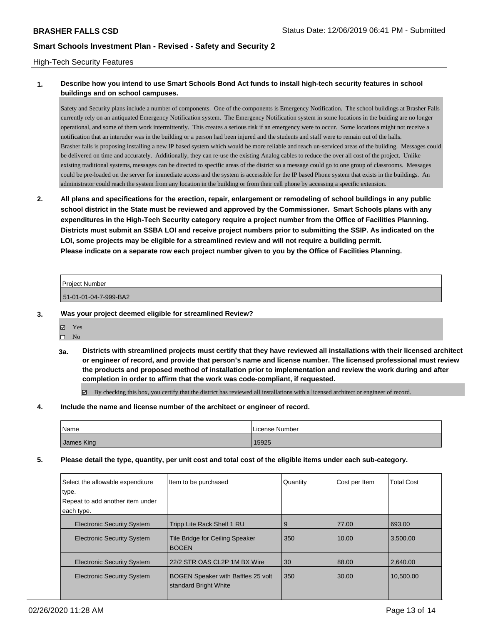### High-Tech Security Features

## **1. Describe how you intend to use Smart Schools Bond Act funds to install high-tech security features in school buildings and on school campuses.**

Safety and Security plans include a number of components. One of the components is Emergency Notification. The school buildings at Brasher Falls currently rely on an antiquated Emergency Notification system. The Emergency Notification system in some locations in the buiding are no longer operational, and some of them work intermittently. This creates a serious risk if an emergency were to occur. Some locations might not receive a notification that an interuder was in the building or a person had been injured and the students and staff were to remain out of the halls. Brasher falls is proposing installing a new IP based system which would be more reliable and reach un-serviced areas of the building. Messages could be delivered on time and accurately. Additionally, they can re-use the existing Analog cables to reduce the over all cost of the project. Unlike existing traditional systems, messages can be directed to specific areas of the district so a message could go to one group of classrooms. Messages could be pre-loaded on the server for immediate access and the system is accessible for the IP based Phone system that exists in the buildings. An administrator could reach the system from any location in the building or from their cell phone by accessing a specific extension.

**2. All plans and specifications for the erection, repair, enlargement or remodeling of school buildings in any public school district in the State must be reviewed and approved by the Commissioner. Smart Schools plans with any expenditures in the High-Tech Security category require a project number from the Office of Facilities Planning. Districts must submit an SSBA LOI and receive project numbers prior to submitting the SSIP. As indicated on the LOI, some projects may be eligible for a streamlined review and will not require a building permit. Please indicate on a separate row each project number given to you by the Office of Facilities Planning.**

| Project Number        |  |
|-----------------------|--|
| 51-01-01-04-7-999-BA2 |  |

- **3. Was your project deemed eligible for streamlined Review?**
	- Yes
	- $\square$  No
	- **3a. Districts with streamlined projects must certify that they have reviewed all installations with their licensed architect or engineer of record, and provide that person's name and license number. The licensed professional must review the products and proposed method of installation prior to implementation and review the work during and after completion in order to affirm that the work was code-compliant, if requested.**

By checking this box, you certify that the district has reviewed all installations with a licensed architect or engineer of record.

**4. Include the name and license number of the architect or engineer of record.**

| <b>Name</b> | License Number |
|-------------|----------------|
| James King  | 15925          |

**5. Please detail the type, quantity, per unit cost and total cost of the eligible items under each sub-category.**

| Select the allowable expenditure<br>type. | Item to be purchased                                               | Quantity | Cost per Item | <b>Total Cost</b> |
|-------------------------------------------|--------------------------------------------------------------------|----------|---------------|-------------------|
| Repeat to add another item under          |                                                                    |          |               |                   |
| each type.                                |                                                                    |          |               |                   |
| <b>Electronic Security System</b>         | Tripp Lite Rack Shelf 1 RU                                         | 9        | 77.00         | 693.00            |
| <b>Electronic Security System</b>         | Tile Bridge for Ceiling Speaker<br><b>BOGEN</b>                    | 350      | 10.00         | 3.500.00          |
| <b>Electronic Security System</b>         | 22/2 STR OAS CL2P 1M BX Wire                                       | 30       | 88.00         | 2,640.00          |
| <b>Electronic Security System</b>         | <b>BOGEN Speaker with Baffles 25 volt</b><br>standard Bright White | 350      | 30.00         | 10.500.00         |